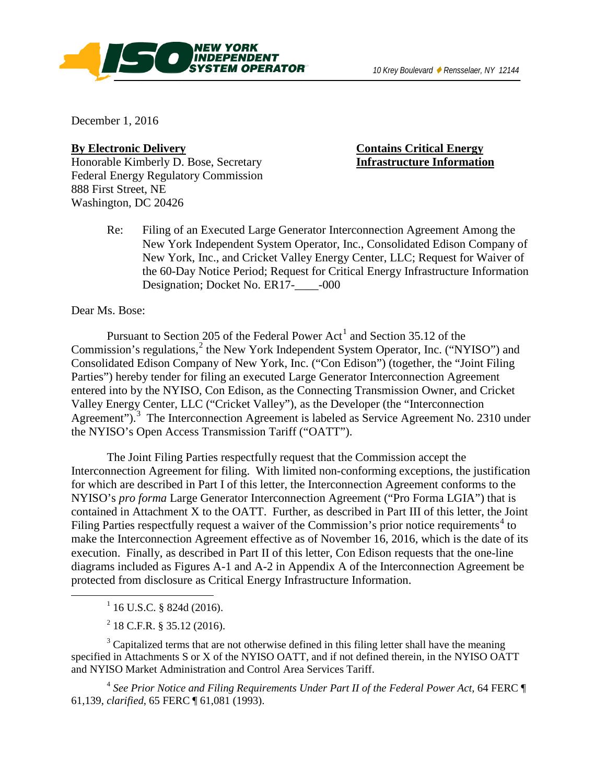

December 1, 2016

Honorable Kimberly D. Bose, Secretary **Infrastructure Information** Federal Energy Regulatory Commission 888 First Street, NE Washington, DC 20426

# **By Electronic Delivery Contains Critical Energy**

Re: Filing of an Executed Large Generator Interconnection Agreement Among the New York Independent System Operator, Inc., Consolidated Edison Company of New York, Inc., and Cricket Valley Energy Center, LLC; Request for Waiver of the 60-Day Notice Period; Request for Critical Energy Infrastructure Information Designation; Docket No. ER17- $-000$ 

Dear Ms. Bose:

Pursuant to Section 205 of the Federal Power  $Act<sup>1</sup>$  $Act<sup>1</sup>$  $Act<sup>1</sup>$  and Section 35.12 of the Commission's regulations,<sup>[2](#page-0-1)</sup> the New York Independent System Operator, Inc. ("NYISO") and Consolidated Edison Company of New York, Inc. ("Con Edison") (together, the "Joint Filing Parties") hereby tender for filing an executed Large Generator Interconnection Agreement entered into by the NYISO, Con Edison, as the Connecting Transmission Owner, and Cricket Valley Energy Center, LLC ("Cricket Valley"), as the Developer (the "Interconnection Agreement").<sup>[3](#page-0-2)</sup> The Interconnection Agreement is labeled as Service Agreement No. 2310 under the NYISO's Open Access Transmission Tariff ("OATT").

The Joint Filing Parties respectfully request that the Commission accept the Interconnection Agreement for filing. With limited non-conforming exceptions, the justification for which are described in Part I of this letter, the Interconnection Agreement conforms to the NYISO's *pro forma* Large Generator Interconnection Agreement ("Pro Forma LGIA") that is contained in Attachment X to the OATT. Further, as described in Part III of this letter, the Joint Filing Parties respectfully request a waiver of the Commission's prior notice requirements<sup>[4](#page-0-3)</sup> to make the Interconnection Agreement effective as of November 16, 2016, which is the date of its execution. Finally, as described in Part II of this letter, Con Edison requests that the one-line diagrams included as Figures A-1 and A-2 in Appendix A of the Interconnection Agreement be protected from disclosure as Critical Energy Infrastructure Information.

 $1$  16 U.S.C. § 824d (2016).

 $2$  18 C.F.R. § 35.12 (2016).

<span id="page-0-2"></span><span id="page-0-1"></span><span id="page-0-0"></span> $3$  Capitalized terms that are not otherwise defined in this filing letter shall have the meaning specified in Attachments S or X of the NYISO OATT, and if not defined therein, in the NYISO OATT and NYISO Market Administration and Control Area Services Tariff.

<span id="page-0-3"></span><sup>4</sup> *See Prior Notice and Filing Requirements Under Part II of the Federal Power Act*, 64 FERC ¶ 61,139, *clarified*, 65 FERC ¶ 61,081 (1993).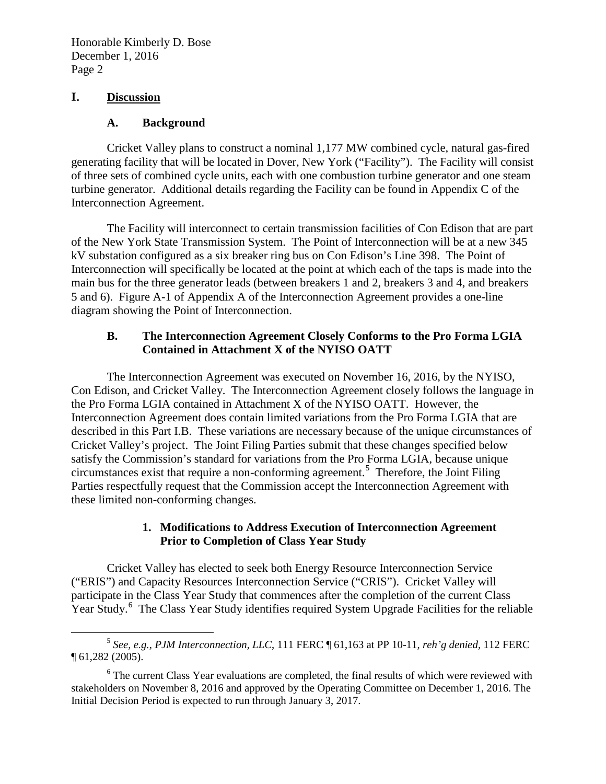#### **I. Discussion**

#### **A. Background**

Cricket Valley plans to construct a nominal 1,177 MW combined cycle, natural gas-fired generating facility that will be located in Dover, New York ("Facility"). The Facility will consist of three sets of combined cycle units, each with one combustion turbine generator and one steam turbine generator. Additional details regarding the Facility can be found in Appendix C of the Interconnection Agreement.

The Facility will interconnect to certain transmission facilities of Con Edison that are part of the New York State Transmission System. The Point of Interconnection will be at a new 345 kV substation configured as a six breaker ring bus on Con Edison's Line 398. The Point of Interconnection will specifically be located at the point at which each of the taps is made into the main bus for the three generator leads (between breakers 1 and 2, breakers 3 and 4, and breakers 5 and 6). Figure A-1 of Appendix A of the Interconnection Agreement provides a one-line diagram showing the Point of Interconnection.

# **B. The Interconnection Agreement Closely Conforms to the Pro Forma LGIA Contained in Attachment X of the NYISO OATT**

The Interconnection Agreement was executed on November 16, 2016, by the NYISO, Con Edison, and Cricket Valley. The Interconnection Agreement closely follows the language in the Pro Forma LGIA contained in Attachment X of the NYISO OATT. However, the Interconnection Agreement does contain limited variations from the Pro Forma LGIA that are described in this Part I.B. These variations are necessary because of the unique circumstances of Cricket Valley's project. The Joint Filing Parties submit that these changes specified below satisfy the Commission's standard for variations from the Pro Forma LGIA, because unique circumstances exist that require a non-conforming agreement.<sup>[5](#page-1-0)</sup> Therefore, the Joint Filing Parties respectfully request that the Commission accept the Interconnection Agreement with these limited non-conforming changes.

# **1. Modifications to Address Execution of Interconnection Agreement Prior to Completion of Class Year Study**

Cricket Valley has elected to seek both Energy Resource Interconnection Service ("ERIS") and Capacity Resources Interconnection Service ("CRIS"). Cricket Valley will participate in the Class Year Study that commences after the completion of the current Class Year Study.<sup>[6](#page-1-1)</sup> The Class Year Study identifies required System Upgrade Facilities for the reliable

<span id="page-1-0"></span> <sup>5</sup> *See, e.g., PJM Interconnection, LLC*, 111 FERC ¶ 61,163 at PP 10-11, *reh'g denied,* 112 FERC ¶ 61,282 (2005).

<span id="page-1-1"></span><sup>&</sup>lt;sup>6</sup> The current Class Year evaluations are completed, the final results of which were reviewed with stakeholders on November 8, 2016 and approved by the Operating Committee on December 1, 2016. The Initial Decision Period is expected to run through January 3, 2017.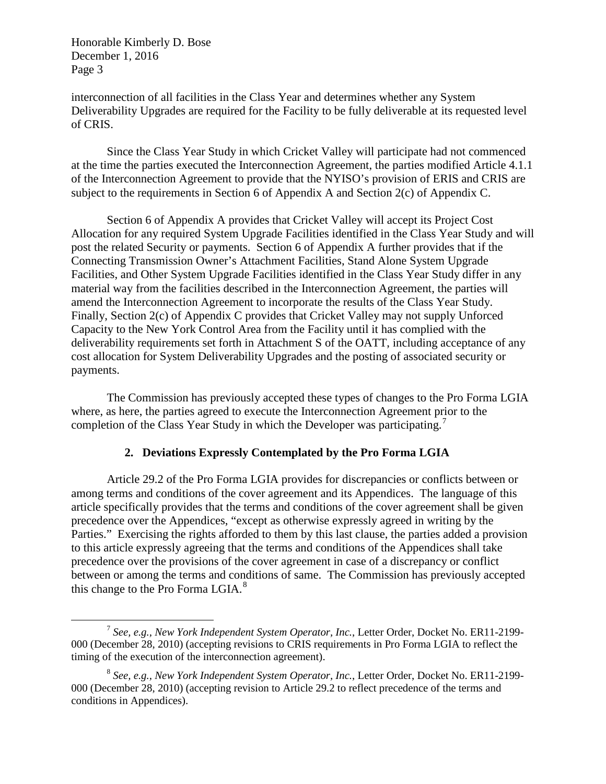interconnection of all facilities in the Class Year and determines whether any System Deliverability Upgrades are required for the Facility to be fully deliverable at its requested level of CRIS.

Since the Class Year Study in which Cricket Valley will participate had not commenced at the time the parties executed the Interconnection Agreement, the parties modified Article 4.1.1 of the Interconnection Agreement to provide that the NYISO's provision of ERIS and CRIS are subject to the requirements in Section 6 of Appendix A and Section 2(c) of Appendix C.

Section 6 of Appendix A provides that Cricket Valley will accept its Project Cost Allocation for any required System Upgrade Facilities identified in the Class Year Study and will post the related Security or payments. Section 6 of Appendix A further provides that if the Connecting Transmission Owner's Attachment Facilities, Stand Alone System Upgrade Facilities, and Other System Upgrade Facilities identified in the Class Year Study differ in any material way from the facilities described in the Interconnection Agreement, the parties will amend the Interconnection Agreement to incorporate the results of the Class Year Study. Finally, Section 2(c) of Appendix C provides that Cricket Valley may not supply Unforced Capacity to the New York Control Area from the Facility until it has complied with the deliverability requirements set forth in Attachment S of the OATT, including acceptance of any cost allocation for System Deliverability Upgrades and the posting of associated security or payments.

The Commission has previously accepted these types of changes to the Pro Forma LGIA where, as here, the parties agreed to execute the Interconnection Agreement prior to the completion of the Class Year Study in which the Developer was participating.<sup>[7](#page-2-0)</sup>

# **2. Deviations Expressly Contemplated by the Pro Forma LGIA**

Article 29.2 of the Pro Forma LGIA provides for discrepancies or conflicts between or among terms and conditions of the cover agreement and its Appendices. The language of this article specifically provides that the terms and conditions of the cover agreement shall be given precedence over the Appendices, "except as otherwise expressly agreed in writing by the Parties." Exercising the rights afforded to them by this last clause, the parties added a provision to this article expressly agreeing that the terms and conditions of the Appendices shall take precedence over the provisions of the cover agreement in case of a discrepancy or conflict between or among the terms and conditions of same. The Commission has previously accepted this change to the Pro Forma LGIA.<sup>[8](#page-2-1)</sup>

<span id="page-2-0"></span> <sup>7</sup> *See, e.g., New York Independent System Operator, Inc.*, Letter Order, Docket No. ER11-2199- 000 (December 28, 2010) (accepting revisions to CRIS requirements in Pro Forma LGIA to reflect the timing of the execution of the interconnection agreement).

<span id="page-2-1"></span><sup>8</sup> *See, e.g., New York Independent System Operator, Inc.*, Letter Order, Docket No. ER11-2199- 000 (December 28, 2010) (accepting revision to Article 29.2 to reflect precedence of the terms and conditions in Appendices).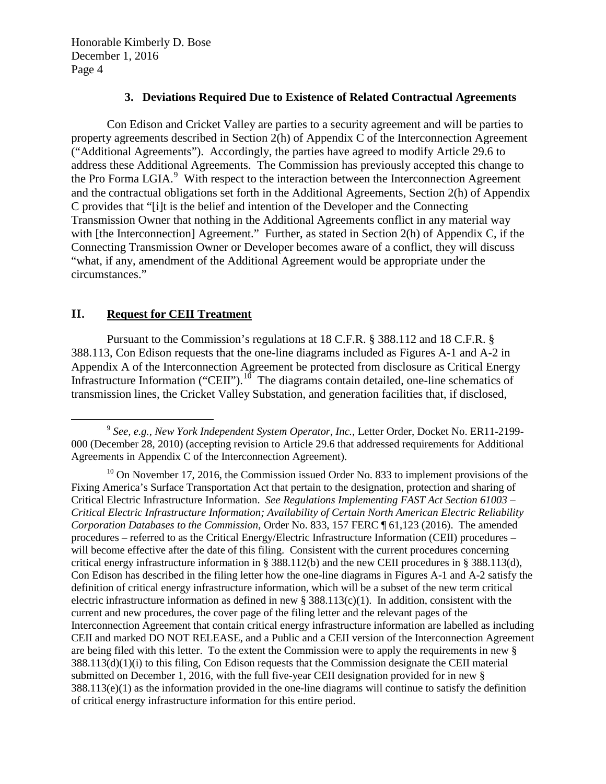### **3. Deviations Required Due to Existence of Related Contractual Agreements**

Con Edison and Cricket Valley are parties to a security agreement and will be parties to property agreements described in Section 2(h) of Appendix C of the Interconnection Agreement ("Additional Agreements"). Accordingly, the parties have agreed to modify Article 29.6 to address these Additional Agreements. The Commission has previously accepted this change to the Pro Forma LGIA.<sup>[9](#page-3-0)</sup> With respect to the interaction between the Interconnection Agreement and the contractual obligations set forth in the Additional Agreements, Section 2(h) of Appendix C provides that "[i]t is the belief and intention of the Developer and the Connecting Transmission Owner that nothing in the Additional Agreements conflict in any material way with [the Interconnection] Agreement." Further, as stated in Section 2(h) of Appendix C, if the Connecting Transmission Owner or Developer becomes aware of a conflict, they will discuss "what, if any, amendment of the Additional Agreement would be appropriate under the circumstances."

#### **II. Request for CEII Treatment**

Pursuant to the Commission's regulations at 18 C.F.R. § 388.112 and 18 C.F.R. § 388.113, Con Edison requests that the one-line diagrams included as Figures A-1 and A-2 in Appendix A of the Interconnection Agreement be protected from disclosure as Critical Energy Infrastructure Information ("CEII").<sup>[10](#page-3-1)</sup> The diagrams contain detailed, one-line schematics of transmission lines, the Cricket Valley Substation, and generation facilities that, if disclosed,

<span id="page-3-0"></span> <sup>9</sup> *See, e.g., New York Independent System Operator, Inc.*, Letter Order, Docket No. ER11-2199- 000 (December 28, 2010) (accepting revision to Article 29.6 that addressed requirements for Additional Agreements in Appendix C of the Interconnection Agreement).

<span id="page-3-1"></span> $10$  On November 17, 2016, the Commission issued Order No. 833 to implement provisions of the Fixing America's Surface Transportation Act that pertain to the designation, protection and sharing of Critical Electric Infrastructure Information. *See Regulations Implementing FAST Act Section 61003 – Critical Electric Infrastructure Information; Availability of Certain North American Electric Reliability Corporation Databases to the Commission*, Order No. 833, 157 FERC ¶ 61,123 (2016). The amended procedures – referred to as the Critical Energy/Electric Infrastructure Information (CEII) procedures – will become effective after the date of this filing. Consistent with the current procedures concerning critical energy infrastructure information in § 388.112(b) and the new CEII procedures in § 388.113(d), Con Edison has described in the filing letter how the one-line diagrams in Figures A-1 and A-2 satisfy the definition of critical energy infrastructure information, which will be a subset of the new term critical electric infrastructure information as defined in new  $\S 388.113(c)(1)$ . In addition, consistent with the current and new procedures, the cover page of the filing letter and the relevant pages of the Interconnection Agreement that contain critical energy infrastructure information are labelled as including CEII and marked DO NOT RELEASE, and a Public and a CEII version of the Interconnection Agreement are being filed with this letter. To the extent the Commission were to apply the requirements in new §  $388.113(d)(1)(i)$  to this filing, Con Edison requests that the Commission designate the CEII material submitted on December 1, 2016, with the full five-year CEII designation provided for in new § 388.113(e)(1) as the information provided in the one-line diagrams will continue to satisfy the definition of critical energy infrastructure information for this entire period.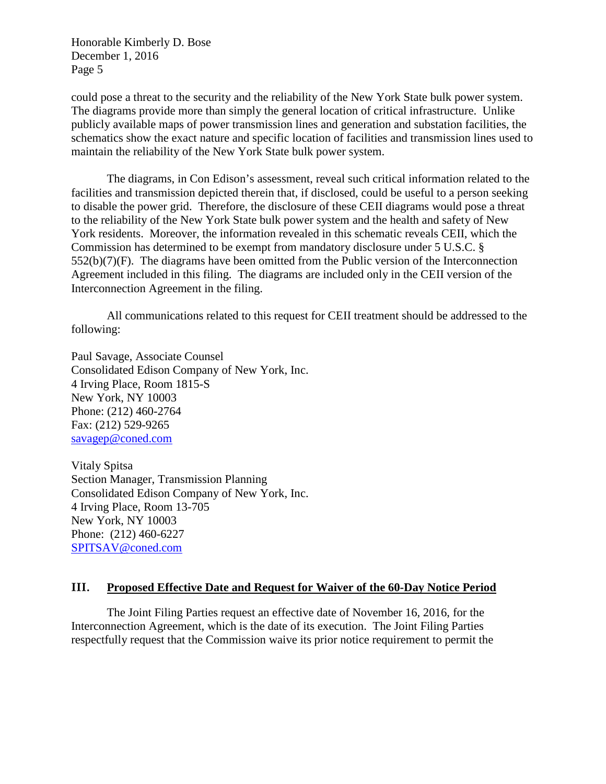could pose a threat to the security and the reliability of the New York State bulk power system. The diagrams provide more than simply the general location of critical infrastructure. Unlike publicly available maps of power transmission lines and generation and substation facilities, the schematics show the exact nature and specific location of facilities and transmission lines used to maintain the reliability of the New York State bulk power system.

The diagrams, in Con Edison's assessment, reveal such critical information related to the facilities and transmission depicted therein that, if disclosed, could be useful to a person seeking to disable the power grid. Therefore, the disclosure of these CEII diagrams would pose a threat to the reliability of the New York State bulk power system and the health and safety of New York residents. Moreover, the information revealed in this schematic reveals CEII, which the Commission has determined to be exempt from mandatory disclosure under 5 U.S.C. § 552(b)(7)(F). The diagrams have been omitted from the Public version of the Interconnection Agreement included in this filing. The diagrams are included only in the CEII version of the Interconnection Agreement in the filing.

All communications related to this request for CEII treatment should be addressed to the following:

Paul Savage, Associate Counsel Consolidated Edison Company of New York, Inc. 4 Irving Place, Room 1815-S New York, NY 10003 Phone: (212) 460-2764 Fax: (212) 529-9265 [savagep@coned.com](mailto:savagep@coned.com)

Vitaly Spitsa Section Manager, Transmission Planning Consolidated Edison Company of New York, Inc. 4 Irving Place, Room 13-705 New York, NY 10003 Phone: (212) 460-6227 [SPITSAV@coned.com](mailto:SPITSAV@coned.com)

### **III. Proposed Effective Date and Request for Waiver of the 60-Day Notice Period**

The Joint Filing Parties request an effective date of November 16, 2016, for the Interconnection Agreement, which is the date of its execution. The Joint Filing Parties respectfully request that the Commission waive its prior notice requirement to permit the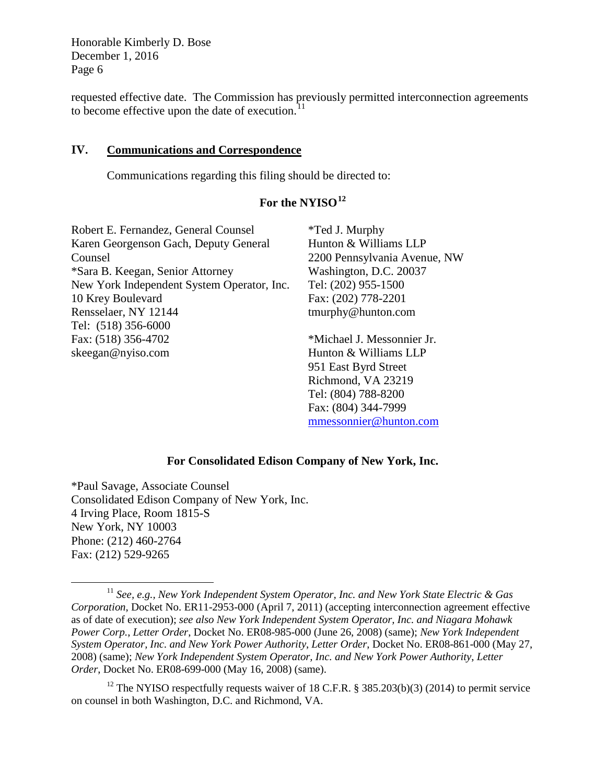requested effective date. The Commission has previously permitted interconnection agreements to become effective upon the date of execution. $^{11}$  $^{11}$  $^{11}$ 

#### **IV. Communications and Correspondence**

Communications regarding this filing should be directed to:

# **For the NYISO[12](#page-5-1)**

| Robert E. Fernandez, General Counsel       |
|--------------------------------------------|
| Karen Georgenson Gach, Deputy General      |
| Counsel                                    |
| *Sara B. Keegan, Senior Attorney           |
| New York Independent System Operator, Inc. |
| 10 Krey Boulevard                          |
| Rensselaer, NY 12144                       |
| Tel: (518) 356-6000                        |
| Fax: (518) 356-4702                        |
| skeegan@nyiso.com                          |
|                                            |

\*Ted J. Murphy Hunton & Williams LLP 2200 Pennsylvania Avenue, NW Washington, D.C. 20037 Tel: (202) 955-1500 Fax: (202) 778-2201 tmurphy@hunton.com

\*Michael J. Messonnier Jr. Hunton & Williams LLP 951 East Byrd Street Richmond, VA 23219 Tel: (804) 788-8200 Fax: (804) 344-7999 [mmessonnier@hunton.com](mailto:mmessonnier@hunton.com)

#### **For Consolidated Edison Company of New York, Inc.**

\*Paul Savage, Associate Counsel Consolidated Edison Company of New York, Inc. 4 Irving Place, Room 1815-S New York, NY 10003 Phone: (212) 460-2764 Fax: (212) 529-9265

<span id="page-5-0"></span><sup>&</sup>lt;sup>11</sup> See, e.g., New York Independent System Operator, Inc. and New York State Electric & Gas *Corporation*, Docket No. ER11-2953-000 (April 7, 2011) (accepting interconnection agreement effective as of date of execution); *see also New York Independent System Operator, Inc. and Niagara Mohawk Power Corp.*, *Letter Order*, Docket No. ER08-985-000 (June 26, 2008) (same); *New York Independent System Operator, Inc. and New York Power Authority*, *Letter Order*, Docket No. ER08-861-000 (May 27, 2008) (same); *New York Independent System Operator, Inc. and New York Power Authority*, *Letter Order*, Docket No. ER08-699-000 (May 16, 2008) (same).

<span id="page-5-1"></span><sup>&</sup>lt;sup>12</sup> The NYISO respectfully requests waiver of 18 C.F.R. § 385.203(b)(3) (2014) to permit service on counsel in both Washington, D.C. and Richmond, VA.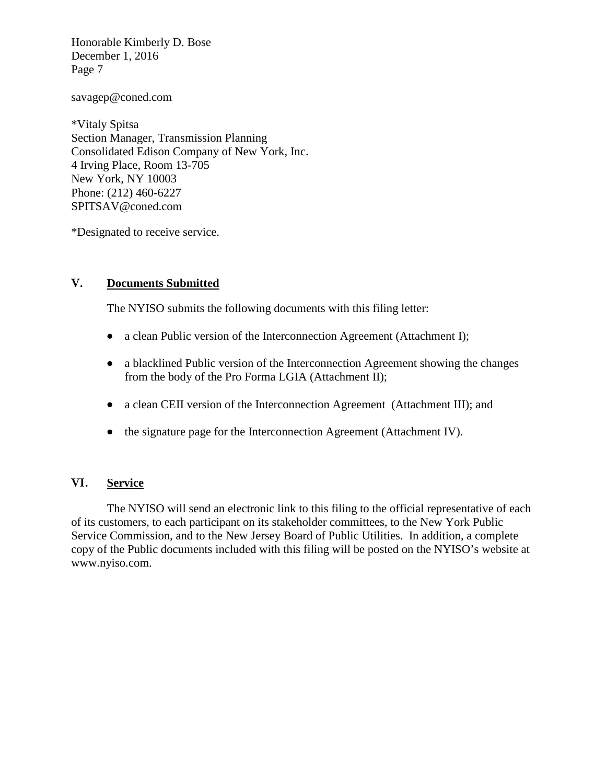savagep@coned.com

\*Vitaly Spitsa Section Manager, Transmission Planning Consolidated Edison Company of New York, Inc. 4 Irving Place, Room 13-705 New York, NY 10003 Phone: (212) 460-6227 SPITSAV@coned.com

\*Designated to receive service.

# **V. Documents Submitted**

The NYISO submits the following documents with this filing letter:

- a clean Public version of the Interconnection Agreement (Attachment I);
- a blacklined Public version of the Interconnection Agreement showing the changes from the body of the Pro Forma LGIA (Attachment II);
- a clean CEII version of the Interconnection Agreement (Attachment III); and
- the signature page for the Interconnection Agreement (Attachment IV).

### **VI. Service**

The NYISO will send an electronic link to this filing to the official representative of each of its customers, to each participant on its stakeholder committees, to the New York Public Service Commission, and to the New Jersey Board of Public Utilities. In addition, a complete copy of the Public documents included with this filing will be posted on the NYISO's website at www.nyiso.com.